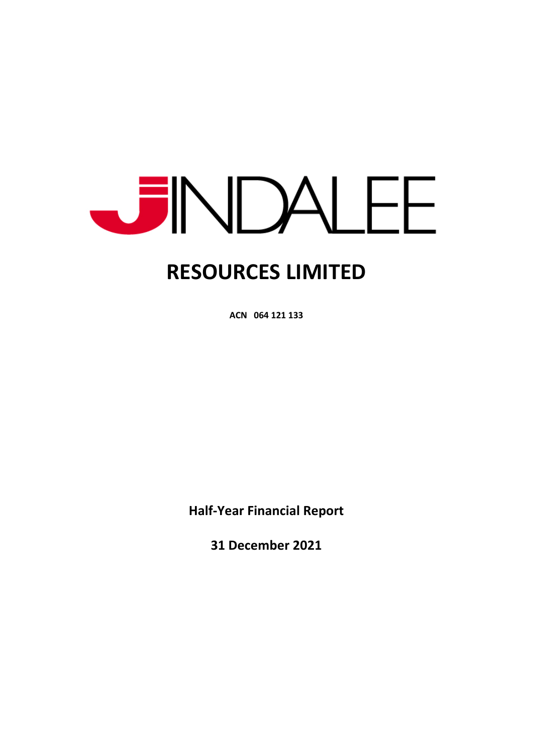

**ACN 064 121 133** 

**Half-Year Financial Report** 

**31 December 2021**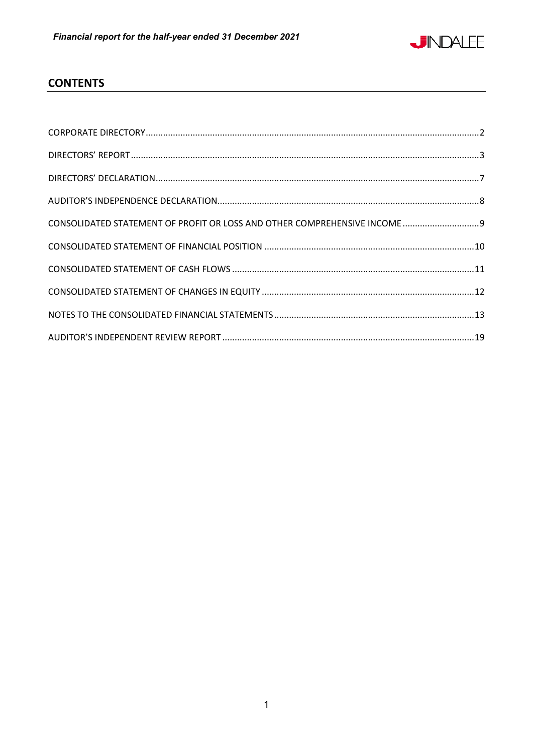

# **CONTENTS**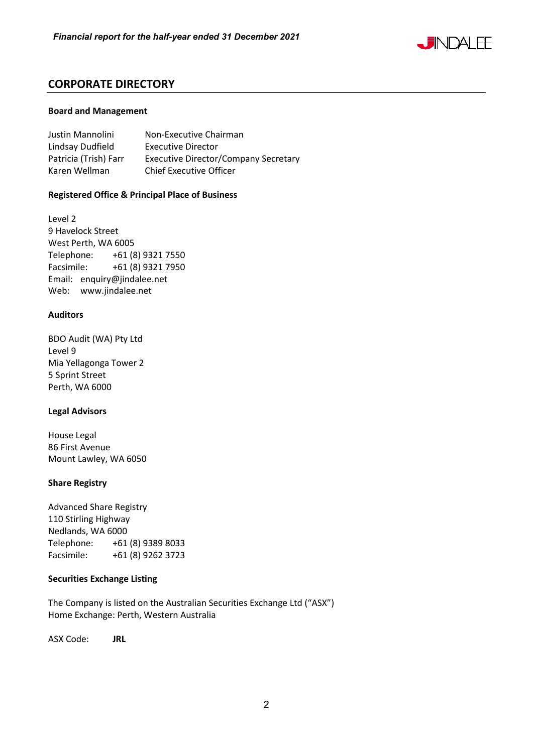

# **CORPORATE DIRECTORY**

#### **Board and Management**

| Justin Mannolini      | Non-Executive Chairman                      |
|-----------------------|---------------------------------------------|
| Lindsay Dudfield      | <b>Executive Director</b>                   |
| Patricia (Trish) Farr | <b>Executive Director/Company Secretary</b> |
| Karen Wellman         | <b>Chief Executive Officer</b>              |

# **Registered Office & Principal Place of Business**

Level 2 9 Havelock Street West Perth, WA 6005 Telephone: +61 (8) 9321 7550 Facsimile: +61 (8) 9321 7950 Email: enquiry@jindalee.net Web: www.jindalee.net

#### **Auditors**

BDO Audit (WA) Pty Ltd Level 9 Mia Yellagonga Tower 2 5 Sprint Street Perth, WA 6000

#### **Legal Advisors**

House Legal 86 First Avenue Mount Lawley, WA 6050

# **Share Registry**

Advanced Share Registry 110 Stirling Highway Nedlands, WA 6000 Telephone: +61 (8) 9389 8033 Facsimile: +61 (8) 9262 3723

# **Securities Exchange Listing**

The Company is listed on the Australian Securities Exchange Ltd ("ASX") Home Exchange: Perth, Western Australia

ASX Code: **JRL**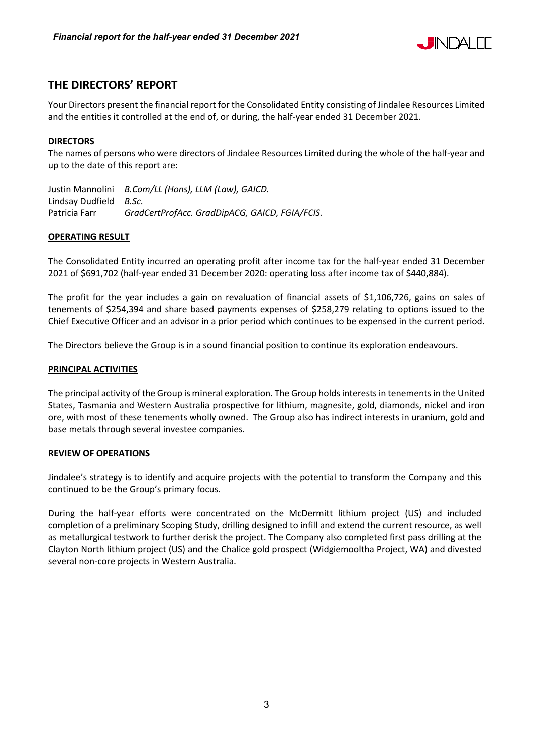

# **THE DIRECTORS' REPORT**

Your Directors present the financial report for the Consolidated Entity consisting of Jindalee Resources Limited and the entities it controlled at the end of, or during, the half-year ended 31 December 2021.

# **DIRECTORS**

The names of persons who were directors of Jindalee Resources Limited during the whole of the half-year and up to the date of this report are:

Justin Mannolini *B.Com/LL (Hons), LLM (Law), GAICD.*  Lindsay Dudfield *B.Sc.*  Patricia Farr *GradCertProfAcc. GradDipACG, GAICD, FGIA/FCIS.* 

# **OPERATING RESULT**

The Consolidated Entity incurred an operating profit after income tax for the half-year ended 31 December 2021 of \$691,702 (half-year ended 31 December 2020: operating loss after income tax of \$440,884).

The profit for the year includes a gain on revaluation of financial assets of \$1,106,726, gains on sales of tenements of \$254,394 and share based payments expenses of \$258,279 relating to options issued to the Chief Executive Officer and an advisor in a prior period which continues to be expensed in the current period.

The Directors believe the Group is in a sound financial position to continue its exploration endeavours.

# **PRINCIPAL ACTIVITIES**

The principal activity of the Group is mineral exploration. The Group holds interests in tenements in the United States, Tasmania and Western Australia prospective for lithium, magnesite, gold, diamonds, nickel and iron ore, with most of these tenements wholly owned. The Group also has indirect interests in uranium, gold and base metals through several investee companies.

# **REVIEW OF OPERATIONS**

Jindalee's strategy is to identify and acquire projects with the potential to transform the Company and this continued to be the Group's primary focus.

During the half-year efforts were concentrated on the McDermitt lithium project (US) and included completion of a preliminary Scoping Study, drilling designed to infill and extend the current resource, as well as metallurgical testwork to further derisk the project. The Company also completed first pass drilling at the Clayton North lithium project (US) and the Chalice gold prospect (Widgiemooltha Project, WA) and divested several non-core projects in Western Australia.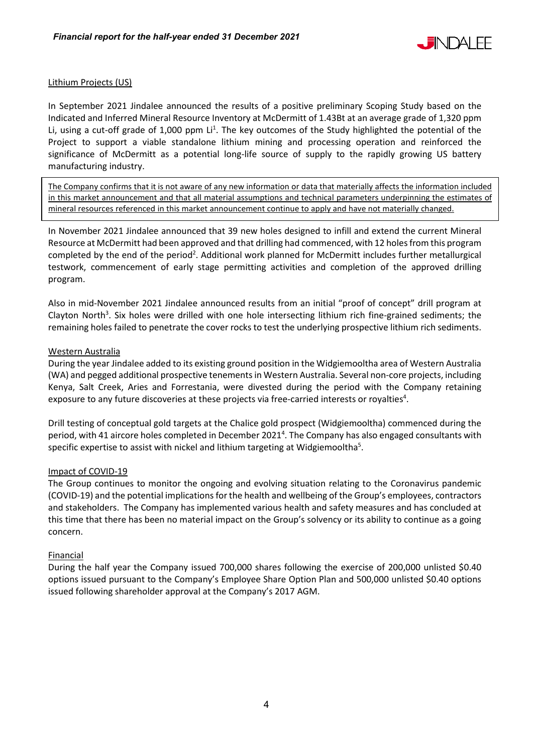

# Lithium Projects (US)

In September 2021 Jindalee announced the results of a positive preliminary Scoping Study based on the Indicated and Inferred Mineral Resource Inventory at McDermitt of 1.43Bt at an average grade of 1,320 ppm Li, using a cut-off grade of 1,000 ppm Li<sup>1</sup>. The key outcomes of the Study highlighted the potential of the Project to support a viable standalone lithium mining and processing operation and reinforced the significance of McDermitt as a potential long-life source of supply to the rapidly growing US battery manufacturing industry.

The Company confirms that it is not aware of any new information or data that materially affects the information included in this market announcement and that all material assumptions and technical parameters underpinning the estimates of mineral resources referenced in this market announcement continue to apply and have not materially changed.

In November 2021 Jindalee announced that 39 new holes designed to infill and extend the current Mineral Resource at McDermitt had been approved and that drilling had commenced, with 12 holes from this program completed by the end of the period<sup>2</sup>. Additional work planned for McDermitt includes further metallurgical testwork, commencement of early stage permitting activities and completion of the approved drilling program.

Also in mid-November 2021 Jindalee announced results from an initial "proof of concept" drill program at Clayton North<sup>3</sup>. Six holes were drilled with one hole intersecting lithium rich fine-grained sediments; the remaining holes failed to penetrate the cover rocks to test the underlying prospective lithium rich sediments.

#### Western Australia

During the year Jindalee added to its existing ground position in the Widgiemooltha area of Western Australia (WA) and pegged additional prospective tenements in Western Australia. Several non-core projects, including Kenya, Salt Creek, Aries and Forrestania, were divested during the period with the Company retaining exposure to any future discoveries at these projects via free-carried interests or royalties $4$ .

Drill testing of conceptual gold targets at the Chalice gold prospect (Widgiemooltha) commenced during the period, with 41 aircore holes completed in December 2021<sup>4</sup>. The Company has also engaged consultants with specific expertise to assist with nickel and lithium targeting at Widgiemooltha<sup>5</sup>.

# Impact of COVID-19

The Group continues to monitor the ongoing and evolving situation relating to the Coronavirus pandemic (COVID-19) and the potential implications for the health and wellbeing of the Group's employees, contractors and stakeholders. The Company has implemented various health and safety measures and has concluded at this time that there has been no material impact on the Group's solvency or its ability to continue as a going concern.

#### Financial

During the half year the Company issued 700,000 shares following the exercise of 200,000 unlisted \$0.40 options issued pursuant to the Company's Employee Share Option Plan and 500,000 unlisted \$0.40 options issued following shareholder approval at the Company's 2017 AGM.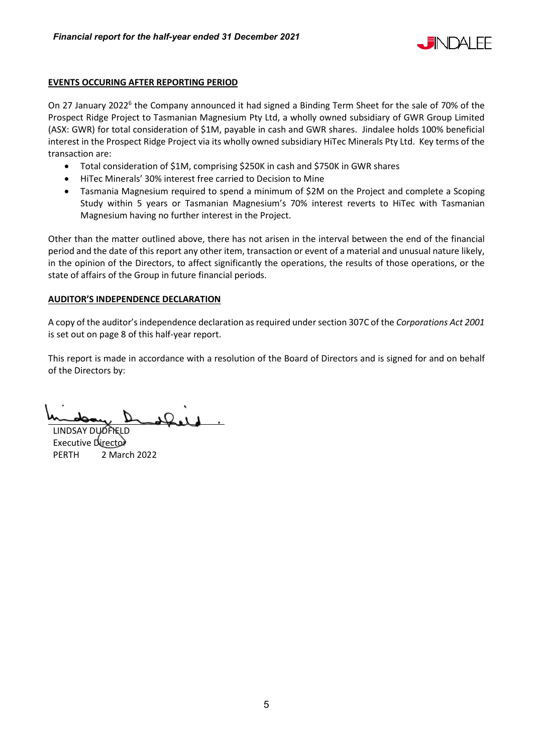

# **EVENTS OCCURING AFTER REPORTING PERIOD**

On 27 January 2022<sup>6</sup> the Company announced it had signed a Binding Term Sheet for the sale of 70% of the Prospect Ridge Project to Tasmanian Magnesium Pty Ltd, a wholly owned subsidiary of GWR Group Limited (ASX: GWR) for total consideration of \$1M, payable in cash and GWR shares. Jindalee holds 100% beneficial interest in the Prospect Ridge Project via its wholly owned subsidiary HiTec Minerals Pty Ltd. Key terms of the transaction are:

- Total consideration of \$1M, comprising \$250K in cash and \$750K in GWR shares
- HiTec Minerals' 30% interest free carried to Decision to Mine
- Tasmania Magnesium required to spend a minimum of \$2M on the Project and complete a Scoping Study within 5 years or Tasmanian Magnesium's 70% interest reverts to HiTec with Tasmanian Magnesium having no further interest in the Project.

Other than the matter outlined above, there has not arisen in the interval between the end of the financial period and the date of this report any other item, transaction or event of a material and unusual nature likely, in the opinion of the Directors, to affect significantly the operations, the results of those operations, or the state of affairs of the Group in future financial periods.

# **AUDITOR'S INDEPENDENCE DECLARATION**

A copy of the auditor's independence declaration as required under section 307C of the *Corporations Act 2001* is set out on page 8 of this half-year report.

This report is made in accordance with a resolution of the Board of Directors and is signed for and on behalf of the Directors by:

LINDSAY DUOPIEI

Executive Director PERTH 2 March 2022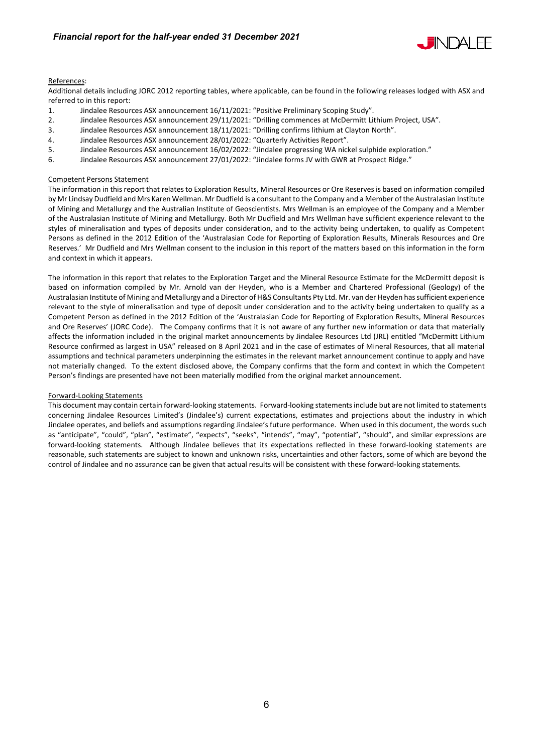

#### References:

Additional details including JORC 2012 reporting tables, where applicable, can be found in the following releases lodged with ASX and referred to in this report:

- 1. Jindalee Resources ASX announcement 16/11/2021: "Positive Preliminary Scoping Study".
- 2. Jindalee Resources ASX announcement 29/11/2021: "Drilling commences at McDermitt Lithium Project, USA".
- 3. Jindalee Resources ASX announcement 18/11/2021: "Drilling confirms lithium at Clayton North".
- 4. Jindalee Resources ASX announcement 28/01/2022: "Quarterly Activities Report".
- 5. Jindalee Resources ASX announcement 16/02/2022: "Jindalee progressing WA nickel sulphide exploration."
- 6. Jindalee Resources ASX announcement 27/01/2022: "Jindalee forms JV with GWR at Prospect Ridge."

#### Competent Persons Statement

The information in this report that relates to Exploration Results, Mineral Resources or Ore Reserves is based on information compiled by Mr Lindsay Dudfield and Mrs Karen Wellman. Mr Dudfield is a consultant to the Company and a Member of the Australasian Institute of Mining and Metallurgy and the Australian Institute of Geoscientists. Mrs Wellman is an employee of the Company and a Member of the Australasian Institute of Mining and Metallurgy. Both Mr Dudfield and Mrs Wellman have sufficient experience relevant to the styles of mineralisation and types of deposits under consideration, and to the activity being undertaken, to qualify as Competent Persons as defined in the 2012 Edition of the 'Australasian Code for Reporting of Exploration Results, Minerals Resources and Ore Reserves.' Mr Dudfield and Mrs Wellman consent to the inclusion in this report of the matters based on this information in the form and context in which it appears.

The information in this report that relates to the Exploration Target and the Mineral Resource Estimate for the McDermitt deposit is based on information compiled by Mr. Arnold van der Heyden, who is a Member and Chartered Professional (Geology) of the Australasian Institute of Mining and Metallurgy and a Director of H&S Consultants Pty Ltd. Mr. van der Heyden has sufficient experience relevant to the style of mineralisation and type of deposit under consideration and to the activity being undertaken to qualify as a Competent Person as defined in the 2012 Edition of the 'Australasian Code for Reporting of Exploration Results, Mineral Resources and Ore Reserves' (JORC Code). The Company confirms that it is not aware of any further new information or data that materially affects the information included in the original market announcements by Jindalee Resources Ltd (JRL) entitled "McDermitt Lithium Resource confirmed as largest in USA" released on 8 April 2021 and in the case of estimates of Mineral Resources, that all material assumptions and technical parameters underpinning the estimates in the relevant market announcement continue to apply and have not materially changed. To the extent disclosed above, the Company confirms that the form and context in which the Competent Person's findings are presented have not been materially modified from the original market announcement.

#### Forward-Looking Statements

This document may contain certain forward-looking statements. Forward-looking statements include but are not limited to statements concerning Jindalee Resources Limited's (Jindalee's) current expectations, estimates and projections about the industry in which Jindalee operates, and beliefs and assumptions regarding Jindalee's future performance. When used in this document, the words such as "anticipate", "could", "plan", "estimate", "expects", "seeks", "intends", "may", "potential", "should", and similar expressions are forward-looking statements. Although Jindalee believes that its expectations reflected in these forward-looking statements are reasonable, such statements are subject to known and unknown risks, uncertainties and other factors, some of which are beyond the control of Jindalee and no assurance can be given that actual results will be consistent with these forward-looking statements.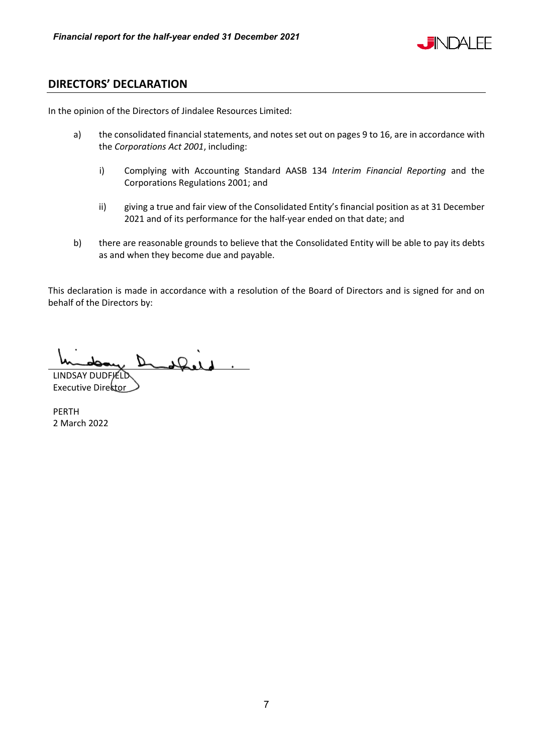

# **DIRECTORS' DECLARATION**

In the opinion of the Directors of Jindalee Resources Limited:

- a) the consolidated financial statements, and notes set out on pages 9 to 16, are in accordance with the *Corporations Act 2001*, including:
	- i) Complying with Accounting Standard AASB 134 *Interim Financial Reporting* and the Corporations Regulations 2001; and
	- ii) giving a true and fair view of the Consolidated Entity's financial position as at 31 December 2021 and of its performance for the half-year ended on that date; and
- b) there are reasonable grounds to believe that the Consolidated Entity will be able to pay its debts as and when they become due and payable.

This declaration is made in accordance with a resolution of the Board of Directors and is signed for and on behalf of the Directors by:

LINDSAY DUDFIELD

Executive Director

PERTH 2 March 2022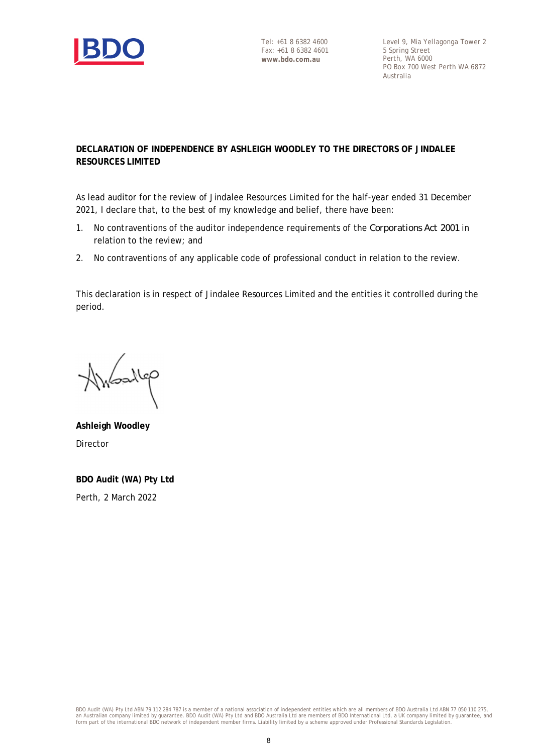

Level 9, Mia Yellagonga Tower 2 5 Spring Street Perth, WA 6000 PO Box 700 West Perth WA 6872 Australia

# **DECLARATION OF INDEPENDENCE BY ASHLEIGH WOODLEY TO THE DIRECTORS OF JINDALEE RESOURCES LIMITED**

As lead auditor for the review of Jindalee Resources Limited for the half-year ended 31 December 2021, I declare that, to the best of my knowledge and belief, there have been:

- 1. No contraventions of the auditor independence requirements of the *Corporations Act 2001* in relation to the review; and
- 2. No contraventions of any applicable code of professional conduct in relation to the review.

This declaration is in respect of Jindalee Resources Limited and the entities it controlled during the period.

Joallep

**Ashleigh Woodley** Director

**BDO Audit (WA) Pty Ltd** Perth, 2 March 2022

BDO Audit (WA) Pty Ltd ABN 79 112 284 787 is a member of a national association of independent entities which are all members of BDO Australia Ltd ABN 77 050 110 275,<br>an Australian company limited by guarantee. BDO Audit ( form part of the international BDO network of independent member firms. Liability limited by a scheme approved under Professional Standards Legislation.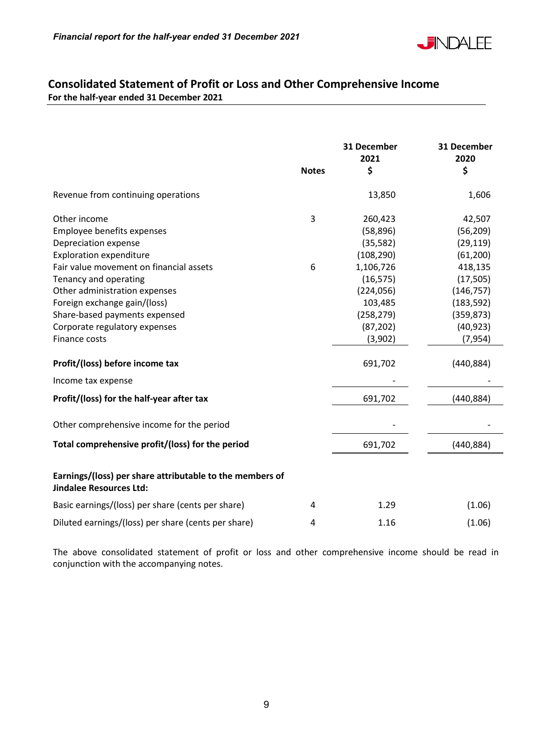

# **Consolidated Statement of Profit or Loss and Other Comprehensive Income For the half-year ended 31 December 2021**

|                                                                                                                                                                                                                                                                                                                              | <b>Notes</b> | 31 December<br>2021<br>\$                                                                                                               | 31 December<br>2020<br>\$                                                                                                                |
|------------------------------------------------------------------------------------------------------------------------------------------------------------------------------------------------------------------------------------------------------------------------------------------------------------------------------|--------------|-----------------------------------------------------------------------------------------------------------------------------------------|------------------------------------------------------------------------------------------------------------------------------------------|
| Revenue from continuing operations                                                                                                                                                                                                                                                                                           |              | 13,850                                                                                                                                  | 1,606                                                                                                                                    |
| Other income<br>Employee benefits expenses<br>Depreciation expense<br><b>Exploration expenditure</b><br>Fair value movement on financial assets<br>Tenancy and operating<br>Other administration expenses<br>Foreign exchange gain/(loss)<br>Share-based payments expensed<br>Corporate regulatory expenses<br>Finance costs | 3<br>6       | 260,423<br>(58, 896)<br>(35,582)<br>(108, 290)<br>1,106,726<br>(16, 575)<br>(224, 056)<br>103,485<br>(258, 279)<br>(87, 202)<br>(3,902) | 42,507<br>(56, 209)<br>(29, 119)<br>(61, 200)<br>418,135<br>(17, 505)<br>(146, 757)<br>(183, 592)<br>(359, 873)<br>(40, 923)<br>(7, 954) |
| Profit/(loss) before income tax                                                                                                                                                                                                                                                                                              |              | 691,702                                                                                                                                 | (440, 884)                                                                                                                               |
| Income tax expense                                                                                                                                                                                                                                                                                                           |              |                                                                                                                                         |                                                                                                                                          |
| Profit/(loss) for the half-year after tax                                                                                                                                                                                                                                                                                    |              | 691,702                                                                                                                                 | (440, 884)                                                                                                                               |
| Other comprehensive income for the period                                                                                                                                                                                                                                                                                    |              |                                                                                                                                         |                                                                                                                                          |
| Total comprehensive profit/(loss) for the period                                                                                                                                                                                                                                                                             |              | 691,702                                                                                                                                 | (440, 884)                                                                                                                               |
| Earnings/(loss) per share attributable to the members of<br><b>Jindalee Resources Ltd:</b>                                                                                                                                                                                                                                   |              |                                                                                                                                         |                                                                                                                                          |
| Basic earnings/(loss) per share (cents per share)                                                                                                                                                                                                                                                                            | 4            | 1.29                                                                                                                                    | (1.06)                                                                                                                                   |
| Diluted earnings/(loss) per share (cents per share)                                                                                                                                                                                                                                                                          | 4            | 1.16                                                                                                                                    | (1.06)                                                                                                                                   |

The above consolidated statement of profit or loss and other comprehensive income should be read in conjunction with the accompanying notes.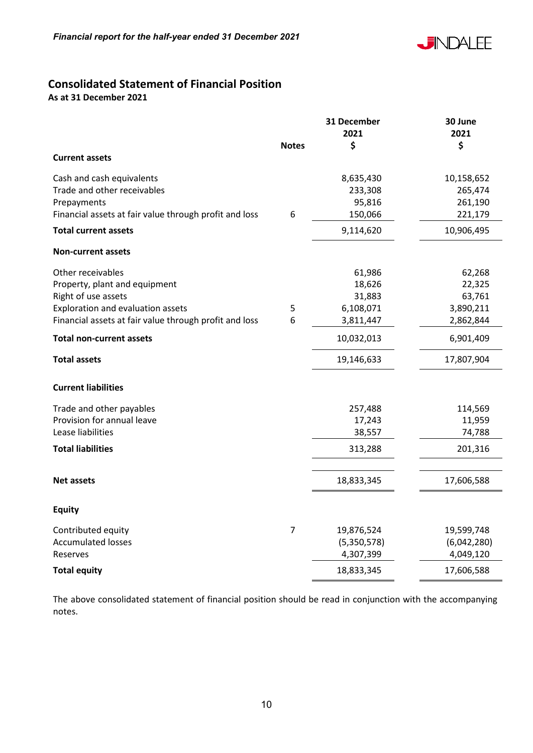

# **Consolidated Statement of Financial Position**

**As at 31 December 2021** 

|                                                        |              | 31 December | 30 June     |
|--------------------------------------------------------|--------------|-------------|-------------|
|                                                        |              | 2021        | 2021        |
|                                                        | <b>Notes</b> | \$          | \$          |
| <b>Current assets</b>                                  |              |             |             |
| Cash and cash equivalents                              |              | 8,635,430   | 10,158,652  |
| Trade and other receivables                            |              | 233,308     | 265,474     |
| Prepayments                                            |              | 95,816      | 261,190     |
| Financial assets at fair value through profit and loss | 6            | 150,066     | 221,179     |
| <b>Total current assets</b>                            |              | 9,114,620   | 10,906,495  |
| <b>Non-current assets</b>                              |              |             |             |
| Other receivables                                      |              | 61,986      | 62,268      |
| Property, plant and equipment                          |              | 18,626      | 22,325      |
| Right of use assets                                    |              | 31,883      | 63,761      |
| Exploration and evaluation assets                      | 5            | 6,108,071   | 3,890,211   |
| Financial assets at fair value through profit and loss | 6            | 3,811,447   | 2,862,844   |
| <b>Total non-current assets</b>                        |              | 10,032,013  | 6,901,409   |
| <b>Total assets</b>                                    |              | 19,146,633  | 17,807,904  |
| <b>Current liabilities</b>                             |              |             |             |
| Trade and other payables                               |              | 257,488     | 114,569     |
| Provision for annual leave                             |              | 17,243      | 11,959      |
| Lease liabilities                                      |              | 38,557      | 74,788      |
| <b>Total liabilities</b>                               |              | 313,288     | 201,316     |
| <b>Net assets</b>                                      |              | 18,833,345  | 17,606,588  |
| <b>Equity</b>                                          |              |             |             |
| Contributed equity                                     | 7            | 19,876,524  | 19,599,748  |
| <b>Accumulated losses</b>                              |              | (5,350,578) | (6,042,280) |
| Reserves                                               |              | 4,307,399   | 4,049,120   |
| <b>Total equity</b>                                    |              | 18,833,345  | 17,606,588  |
|                                                        |              |             |             |

The above consolidated statement of financial position should be read in conjunction with the accompanying notes.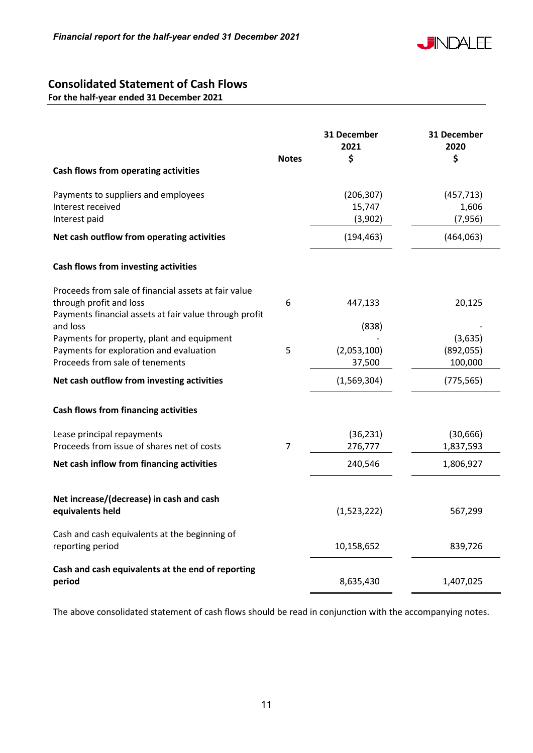

# **Consolidated Statement of Cash Flows**

**For the half-year ended 31 December 2021** 

| Cash flows from operating activities                                                                                                      | <b>Notes</b>   | 31 December<br>2021<br>\$       | 31 December<br>2020<br>\$        |
|-------------------------------------------------------------------------------------------------------------------------------------------|----------------|---------------------------------|----------------------------------|
| Payments to suppliers and employees<br>Interest received<br>Interest paid                                                                 |                | (206, 307)<br>15,747<br>(3,902) | (457, 713)<br>1,606<br>(7,956)   |
| Net cash outflow from operating activities                                                                                                |                | (194, 463)                      | (464,063)                        |
| Cash flows from investing activities                                                                                                      |                |                                 |                                  |
| Proceeds from sale of financial assets at fair value<br>through profit and loss<br>Payments financial assets at fair value through profit | 6              | 447,133                         | 20,125                           |
| and loss<br>Payments for property, plant and equipment<br>Payments for exploration and evaluation<br>Proceeds from sale of tenements      | 5              | (838)<br>(2,053,100)<br>37,500  | (3,635)<br>(892, 055)<br>100,000 |
| Net cash outflow from investing activities                                                                                                |                | (1,569,304)                     | (775, 565)                       |
| <b>Cash flows from financing activities</b>                                                                                               |                |                                 |                                  |
| Lease principal repayments<br>Proceeds from issue of shares net of costs                                                                  | $\overline{7}$ | (36, 231)<br>276,777            | (30, 666)<br>1,837,593           |
| Net cash inflow from financing activities                                                                                                 |                | 240,546                         | 1,806,927                        |
| Net increase/(decrease) in cash and cash<br>equivalents held                                                                              |                | (1,523,222)                     | 567,299                          |
| Cash and cash equivalents at the beginning of<br>reporting period                                                                         |                | 10,158,652                      | 839,726                          |
| Cash and cash equivalents at the end of reporting<br>period                                                                               |                | 8,635,430                       | 1,407,025                        |

The above consolidated statement of cash flows should be read in conjunction with the accompanying notes.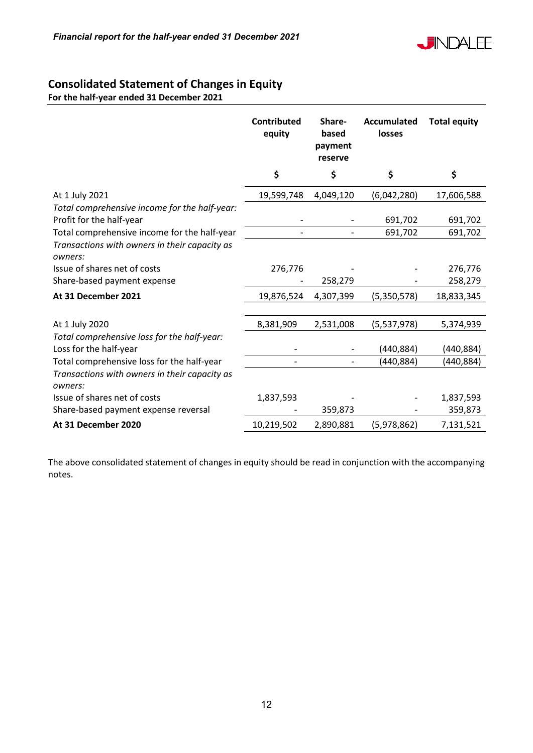

# **Consolidated Statement of Changes in Equity**

**For the half-year ended 31 December 2021** 

|                                                                           | <b>Contributed</b><br>equity | Share-<br>based<br>payment<br>reserve | <b>Accumulated</b><br>losses | <b>Total equity</b> |
|---------------------------------------------------------------------------|------------------------------|---------------------------------------|------------------------------|---------------------|
|                                                                           | \$                           | \$                                    | \$                           | \$                  |
| At 1 July 2021                                                            | 19,599,748                   | 4,049,120                             | (6,042,280)                  | 17,606,588          |
| Total comprehensive income for the half-year:<br>Profit for the half-year |                              |                                       | 691,702                      | 691,702             |
| Total comprehensive income for the half-year                              |                              |                                       | 691,702                      | 691,702             |
| Transactions with owners in their capacity as<br>owners:                  |                              |                                       |                              |                     |
| Issue of shares net of costs                                              | 276,776                      |                                       |                              | 276,776             |
| Share-based payment expense                                               |                              | 258,279                               |                              | 258,279             |
| At 31 December 2021                                                       | 19,876,524                   | 4,307,399                             | (5,350,578)                  | 18,833,345          |
|                                                                           |                              |                                       |                              |                     |
| At 1 July 2020                                                            | 8,381,909                    | 2,531,008                             | (5,537,978)                  | 5,374,939           |
| Total comprehensive loss for the half-year:                               |                              |                                       |                              |                     |
| Loss for the half-year                                                    |                              |                                       | (440, 884)                   | (440, 884)          |
| Total comprehensive loss for the half-year                                |                              |                                       | (440,884)                    | (440,884)           |
| Transactions with owners in their capacity as<br>owners:                  |                              |                                       |                              |                     |
| Issue of shares net of costs                                              | 1,837,593                    |                                       |                              | 1,837,593           |
| Share-based payment expense reversal                                      |                              | 359,873                               |                              | 359,873             |
| At 31 December 2020                                                       | 10,219,502                   | 2,890,881                             | (5,978,862)                  | 7,131,521           |

The above consolidated statement of changes in equity should be read in conjunction with the accompanying notes.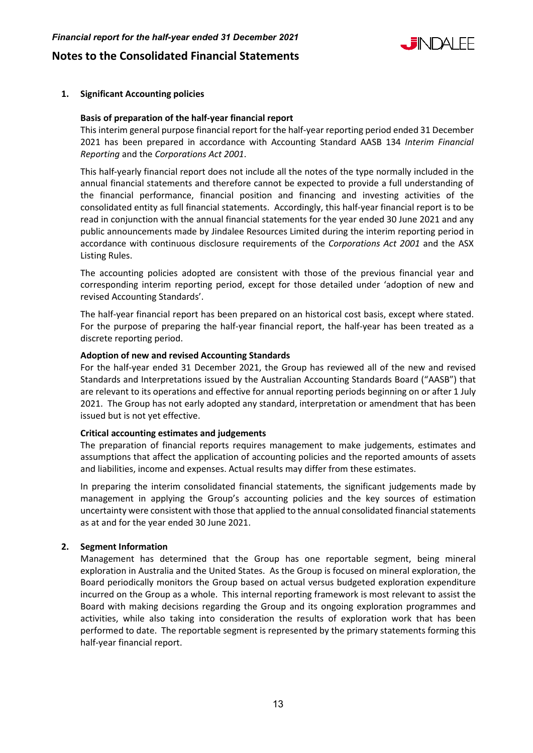# L EINIDAI FF

# **Notes to the Consolidated Financial Statements**

# **1. Significant Accounting policies**

# **Basis of preparation of the half-year financial report**

This interim general purpose financial report for the half-year reporting period ended 31 December 2021 has been prepared in accordance with Accounting Standard AASB 134 *Interim Financial Reporting* and the *Corporations Act 2001*.

This half-yearly financial report does not include all the notes of the type normally included in the annual financial statements and therefore cannot be expected to provide a full understanding of the financial performance, financial position and financing and investing activities of the consolidated entity as full financial statements. Accordingly, this half-year financial report is to be read in conjunction with the annual financial statements for the year ended 30 June 2021 and any public announcements made by Jindalee Resources Limited during the interim reporting period in accordance with continuous disclosure requirements of the *Corporations Act 2001* and the ASX Listing Rules.

The accounting policies adopted are consistent with those of the previous financial year and corresponding interim reporting period, except for those detailed under 'adoption of new and revised Accounting Standards'.

The half-year financial report has been prepared on an historical cost basis, except where stated. For the purpose of preparing the half-year financial report, the half-year has been treated as a discrete reporting period.

#### **Adoption of new and revised Accounting Standards**

For the half-year ended 31 December 2021, the Group has reviewed all of the new and revised Standards and Interpretations issued by the Australian Accounting Standards Board ("AASB") that are relevant to its operations and effective for annual reporting periods beginning on or after 1 July 2021. The Group has not early adopted any standard, interpretation or amendment that has been issued but is not yet effective.

# **Critical accounting estimates and judgements**

The preparation of financial reports requires management to make judgements, estimates and assumptions that affect the application of accounting policies and the reported amounts of assets and liabilities, income and expenses. Actual results may differ from these estimates.

In preparing the interim consolidated financial statements, the significant judgements made by management in applying the Group's accounting policies and the key sources of estimation uncertainty were consistent with those that applied to the annual consolidated financial statements as at and for the year ended 30 June 2021.

# **2. Segment Information**

Management has determined that the Group has one reportable segment, being mineral exploration in Australia and the United States. As the Group is focused on mineral exploration, the Board periodically monitors the Group based on actual versus budgeted exploration expenditure incurred on the Group as a whole. This internal reporting framework is most relevant to assist the Board with making decisions regarding the Group and its ongoing exploration programmes and activities, while also taking into consideration the results of exploration work that has been performed to date. The reportable segment is represented by the primary statements forming this half-year financial report.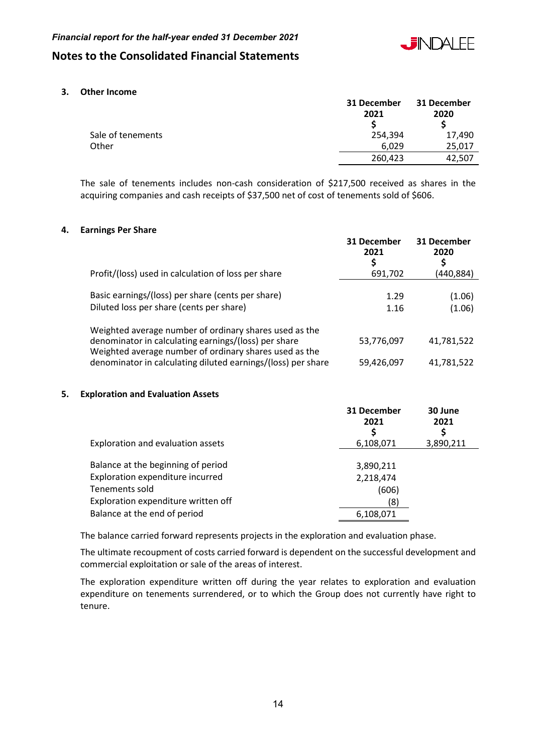

# **Notes to the Consolidated Financial Statements**

**3. Other Income** 

|                   | 31 December<br>2021 | 31 December<br>2020 |
|-------------------|---------------------|---------------------|
| Sale of tenements | 254,394             | 17,490              |
| Other             | 6.029               | 25,017              |
|                   | 260,423             | 42,507              |

The sale of tenements includes non-cash consideration of \$217,500 received as shares in the acquiring companies and cash receipts of \$37,500 net of cost of tenements sold of \$606.

#### **4. Earnings Per Share**

| Profit/(loss) used in calculation of loss per share                                                                                                                                                                                      | 31 December<br>2021<br>S<br>691,702 | 31 December<br>2020<br>\$<br>(440,884) |
|------------------------------------------------------------------------------------------------------------------------------------------------------------------------------------------------------------------------------------------|-------------------------------------|----------------------------------------|
| Basic earnings/(loss) per share (cents per share)<br>Diluted loss per share (cents per share)                                                                                                                                            | 1.29<br>1.16                        | (1.06)<br>(1.06)                       |
| Weighted average number of ordinary shares used as the<br>denominator in calculating earnings/(loss) per share<br>Weighted average number of ordinary shares used as the<br>denominator in calculating diluted earnings/(loss) per share | 53,776,097<br>59,426,097            | 41,781,522<br>41,781,522               |

# **5. Exploration and Evaluation Assets**

|                                                    | 31 December<br>2021 | 30 June<br>2021 |
|----------------------------------------------------|---------------------|-----------------|
| Exploration and evaluation assets                  | 6,108,071           | 3,890,211       |
| Balance at the beginning of period                 | 3,890,211           |                 |
| Exploration expenditure incurred<br>Tenements sold | 2,218,474<br>(606)  |                 |
| Exploration expenditure written off                | (8)                 |                 |
| Balance at the end of period                       | 6,108,071           |                 |

The balance carried forward represents projects in the exploration and evaluation phase.

The ultimate recoupment of costs carried forward is dependent on the successful development and commercial exploitation or sale of the areas of interest.

The exploration expenditure written off during the year relates to exploration and evaluation expenditure on tenements surrendered, or to which the Group does not currently have right to tenure.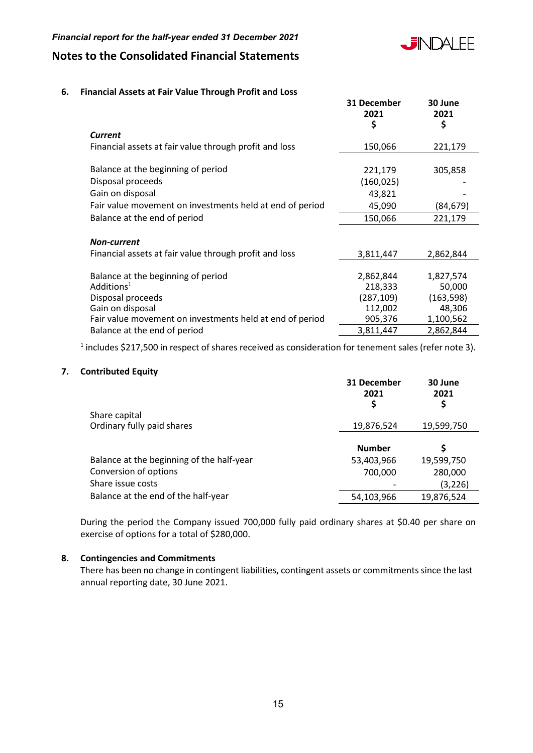# *Financial report for the half-year ended 31 December 2021*



# **Notes to the Consolidated Financial Statements**

# **6. Financial Assets at Fair Value Through Profit and Loss**

|                                                          | 31 December<br>2021<br>\$ | 30 June<br>2021<br>\$ |
|----------------------------------------------------------|---------------------------|-----------------------|
| <b>Current</b>                                           |                           |                       |
| Financial assets at fair value through profit and loss   | 150,066                   | 221,179               |
|                                                          |                           |                       |
| Balance at the beginning of period                       | 221,179                   | 305,858               |
| Disposal proceeds                                        | (160, 025)                |                       |
| Gain on disposal                                         | 43,821                    |                       |
| Fair value movement on investments held at end of period | 45,090                    | (84,679)              |
| Balance at the end of period                             | 150,066                   | 221,179               |
|                                                          |                           |                       |
| <b>Non-current</b>                                       |                           |                       |
| Financial assets at fair value through profit and loss   | 3,811,447                 | 2,862,844             |
|                                                          |                           |                       |
| Balance at the beginning of period                       | 2,862,844                 | 1,827,574             |
| Additions <sup>1</sup>                                   | 218,333                   | 50,000                |
| Disposal proceeds                                        | (287, 109)                | (163, 598)            |
| Gain on disposal                                         | 112,002                   | 48,306                |
| Fair value movement on investments held at end of period | 905,376                   | 1,100,562             |
| Balance at the end of period                             | 3,811,447                 | 2,862,844             |

 $<sup>1</sup>$  includes \$217,500 in respect of shares received as consideration for tenement sales (refer note 3).</sup>

# **7. Contributed Equity**

|                                           | 31 December<br>2021<br>Ş | 30 June<br>2021<br>Ş |
|-------------------------------------------|--------------------------|----------------------|
| Share capital                             |                          |                      |
| Ordinary fully paid shares                | 19,876,524               | 19,599,750           |
|                                           | <b>Number</b>            | S                    |
| Balance at the beginning of the half-year | 53,403,966               | 19,599,750           |
| Conversion of options                     | 700,000                  | 280,000              |
| Share issue costs                         |                          | (3, 226)             |
| Balance at the end of the half-year       | 54,103,966               | 19,876,524           |

During the period the Company issued 700,000 fully paid ordinary shares at \$0.40 per share on exercise of options for a total of \$280,000.

# **8. Contingencies and Commitments**

There has been no change in contingent liabilities, contingent assets or commitments since the last annual reporting date, 30 June 2021.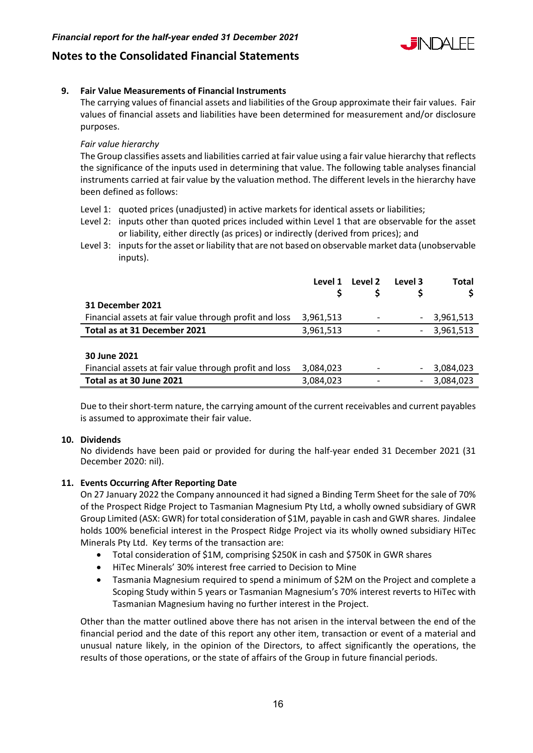

# **Notes to the Consolidated Financial Statements**

# **9. Fair Value Measurements of Financial Instruments**

The carrying values of financial assets and liabilities of the Group approximate their fair values. Fair values of financial assets and liabilities have been determined for measurement and/or disclosure purposes.

# *Fair value hierarchy*

The Group classifies assets and liabilities carried at fair value using a fair value hierarchy that reflects the significance of the inputs used in determining that value. The following table analyses financial instruments carried at fair value by the valuation method. The different levels in the hierarchy have been defined as follows:

- Level 1: quoted prices (unadjusted) in active markets for identical assets or liabilities;
- Level 2: inputs other than quoted prices included within Level 1 that are observable for the asset or liability, either directly (as prices) or indirectly (derived from prices); and
- Level 3: inputs for the asset or liability that are not based on observable market data (unobservable inputs).

|                                                        | Level 1   | Level 2 | Level 3 | <b>Total</b> |
|--------------------------------------------------------|-----------|---------|---------|--------------|
| <b>31 December 2021</b>                                |           |         |         |              |
| Financial assets at fair value through profit and loss | 3,961,513 |         |         | 3,961,513    |
| Total as at 31 December 2021                           | 3,961,513 |         |         | 3,961,513    |
|                                                        |           |         |         |              |
| 30 June 2021                                           |           |         |         |              |
| Financial assets at fair value through profit and loss | 3,084,023 |         |         | 3,084,023    |
| Total as at 30 June 2021                               | 3,084,023 |         |         | 3,084,023    |

Due to their short-term nature, the carrying amount of the current receivables and current payables is assumed to approximate their fair value.

# **10. Dividends**

No dividends have been paid or provided for during the half-year ended 31 December 2021 (31 December 2020: nil).

# **11. Events Occurring After Reporting Date**

On 27 January 2022 the Company announced it had signed a Binding Term Sheet for the sale of 70% of the Prospect Ridge Project to Tasmanian Magnesium Pty Ltd, a wholly owned subsidiary of GWR Group Limited (ASX: GWR) for total consideration of \$1M, payable in cash and GWR shares. Jindalee holds 100% beneficial interest in the Prospect Ridge Project via its wholly owned subsidiary HiTec Minerals Pty Ltd. Key terms of the transaction are:

- Total consideration of \$1M, comprising \$250K in cash and \$750K in GWR shares
- HiTec Minerals' 30% interest free carried to Decision to Mine
- Tasmania Magnesium required to spend a minimum of \$2M on the Project and complete a Scoping Study within 5 years or Tasmanian Magnesium's 70% interest reverts to HiTec with Tasmanian Magnesium having no further interest in the Project.

Other than the matter outlined above there has not arisen in the interval between the end of the financial period and the date of this report any other item, transaction or event of a material and unusual nature likely, in the opinion of the Directors, to affect significantly the operations, the results of those operations, or the state of affairs of the Group in future financial periods.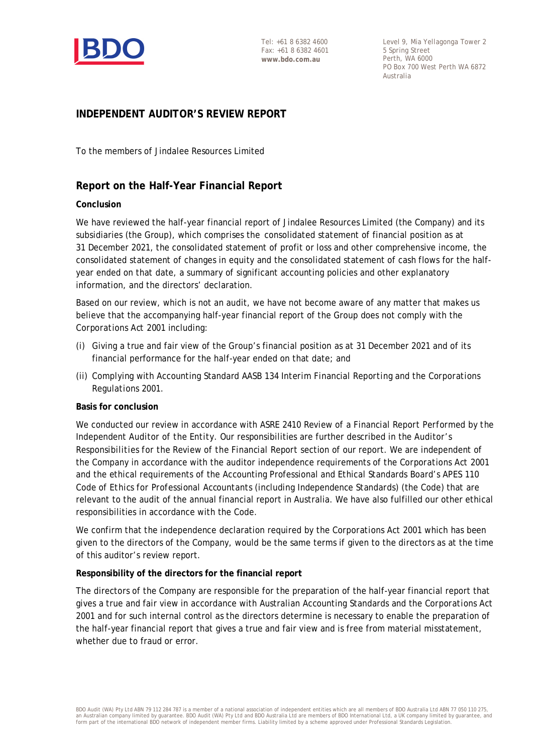

Level 9, Mia Yellagonga Tower 2 5 Spring Street Perth, WA 6000 PO Box 700 West Perth WA 6872 Australia

# **INDEPENDENT AUDITOR'S REVIEW REPORT**

To the members of Jindalee Resources Limited

# **Report on the Half-Year Financial Report**

# **Conclusion**

We have reviewed the half-year financial report of Jindalee Resources Limited (the Company) and its subsidiaries (the Group), which comprises the consolidated statement of financial position as at 31 December 2021, the consolidated statement of profit or loss and other comprehensive income, the consolidated statement of changes in equity and the consolidated statement of cash flows for the halfyear ended on that date, a summary of significant accounting policies and other explanatory information, and the directors' declaration.

Based on our review, which is not an audit, we have not become aware of any matter that makes us believe that the accompanying half-year financial report of the Group does not comply with the *Corporations Act 2001* including:

- (i) Giving a true and fair view of the Group's financial position as at 31 December 2021 and of its financial performance for the half-year ended on that date; and
- (ii) Complying with Accounting Standard AASB 134 *Interim Financial Reporting* and the *Corporations Regulations 2001.*

# **Basis for conclusion**

We conducted our review in accordance with ASRE 2410 *Review of a Financial Report Performed by the Independent Auditor of the Entity*. Our responsibilities are further described in the *Auditor's Responsibilities for the Review of the Financial Report* section of our report. We are independent of the Company in accordance with the auditor independence requirements of the *Corporations Act 2001* and the ethical requirements of the Accounting Professional and Ethical Standards Board's APES 110 *Code of Ethics for Professional Accountants (including Independence Standards)* (the Code) that are relevant to the audit of the annual financial report in Australia. We have also fulfilled our other ethical responsibilities in accordance with the Code.

We confirm that the independence declaration required by the *Corporations Act 2001* which has been given to the directors of the Company, would be the same terms if given to the directors as at the time of this auditor's review report.

# **Responsibility of the directors for the financial report**

The directors of the Company are responsible for the preparation of the half-year financial report that gives a true and fair view in accordance with Australian Accounting Standards and the *Corporations Act 2001* and for such internal control as the directors determine is necessary to enable the preparation of the half-year financial report that gives a true and fair view and is free from material misstatement, whether due to fraud or error.